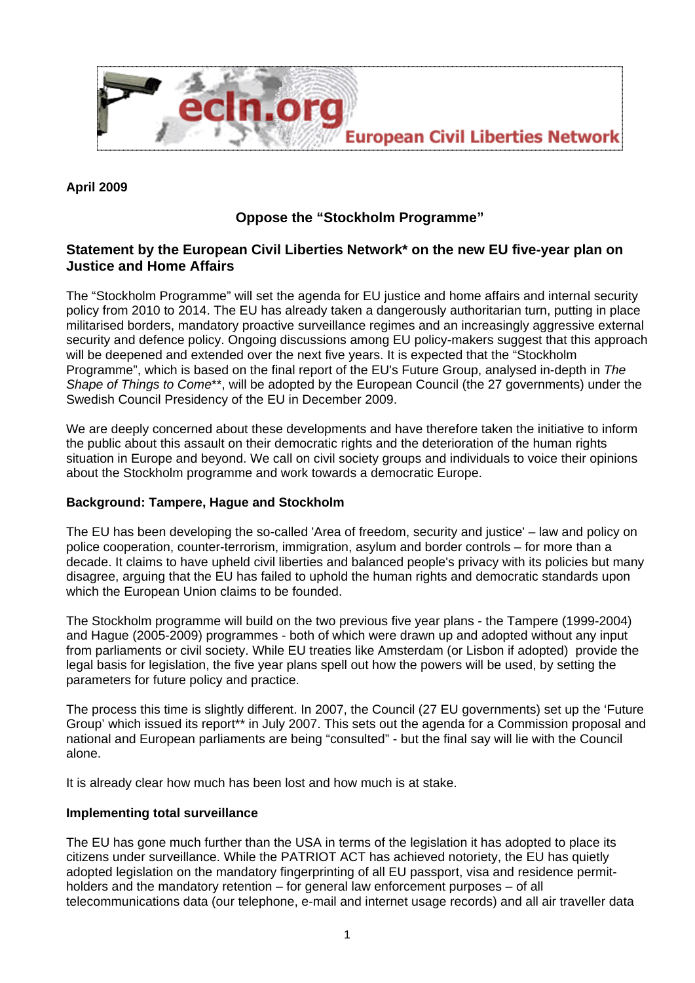

## **April 2009**

# **Oppose the "Stockholm Programme"**

# **Statement by the European Civil Liberties Network\* on the new EU five-year plan on Justice and Home Affairs**

The "Stockholm Programme" will set the agenda for EU justice and home affairs and internal security policy from 2010 to 2014. The EU has already taken a dangerously authoritarian turn, putting in place militarised borders, mandatory proactive surveillance regimes and an increasingly aggressive external security and defence policy. Ongoing discussions among EU policy-makers suggest that this approach will be deepened and extended over the next five years. It is expected that the "Stockholm Programme", which is based on the final report of the EU's Future Group, analysed in-depth in *The Shape of Things to Come*\*\*, will be adopted by the European Council (the 27 governments) under the Swedish Council Presidency of the EU in December 2009.

We are deeply concerned about these developments and have therefore taken the initiative to inform the public about this assault on their democratic rights and the deterioration of the human rights situation in Europe and beyond. We call on civil society groups and individuals to voice their opinions about the Stockholm programme and work towards a democratic Europe.

#### **Background: Tampere, Hague and Stockholm**

The EU has been developing the so-called 'Area of freedom, security and justice' – law and policy on police cooperation, counter-terrorism, immigration, asylum and border controls – for more than a decade. It claims to have upheld civil liberties and balanced people's privacy with its policies but many disagree, arguing that the EU has failed to uphold the human rights and democratic standards upon which the European Union claims to be founded.

The Stockholm programme will build on the two previous five year plans - the Tampere (1999-2004) and Hague (2005-2009) programmes - both of which were drawn up and adopted without any input from parliaments or civil society. While EU treaties like Amsterdam (or Lisbon if adopted) provide the legal basis for legislation, the five year plans spell out how the powers will be used, by setting the parameters for future policy and practice.

The process this time is slightly different. In 2007, the Council (27 EU governments) set up the 'Future Group' which issued its report\*\* in July 2007. This sets out the agenda for a Commission proposal and national and European parliaments are being "consulted" - but the final say will lie with the Council alone.

It is already clear how much has been lost and how much is at stake.

#### **Implementing total surveillance**

The EU has gone much further than the USA in terms of the legislation it has adopted to place its citizens under surveillance. While the PATRIOT ACT has achieved notoriety, the EU has quietly adopted legislation on the mandatory fingerprinting of all EU passport, visa and residence permitholders and the mandatory retention – for general law enforcement purposes – of all telecommunications data (our telephone, e-mail and internet usage records) and all air traveller data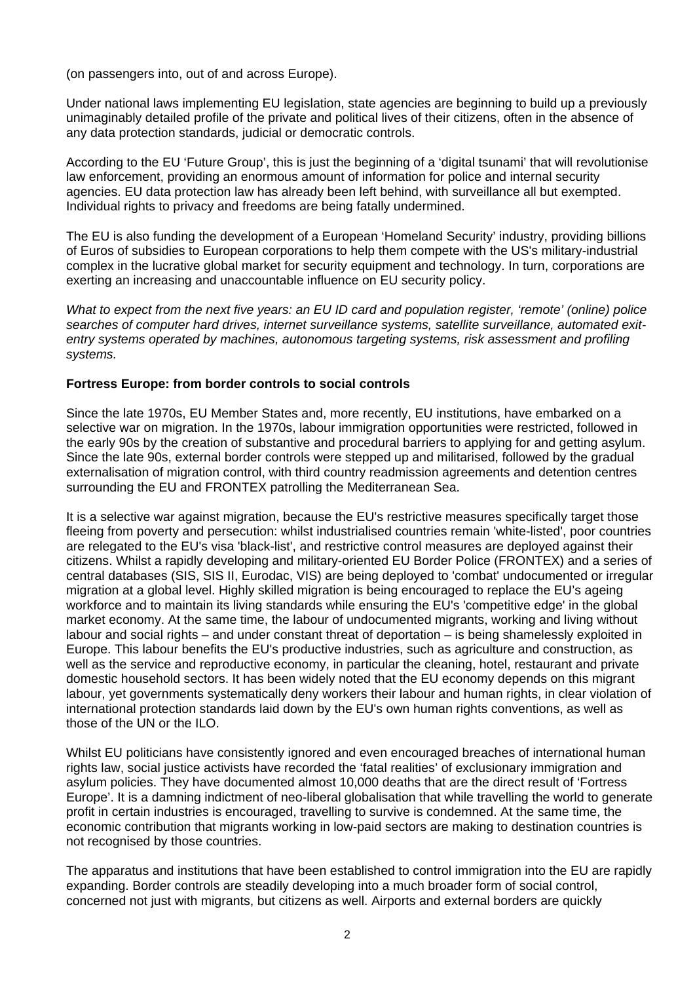(on passengers into, out of and across Europe).

Under national laws implementing EU legislation, state agencies are beginning to build up a previously unimaginably detailed profile of the private and political lives of their citizens, often in the absence of any data protection standards, judicial or democratic controls.

According to the EU 'Future Group', this is just the beginning of a 'digital tsunami' that will revolutionise law enforcement, providing an enormous amount of information for police and internal security agencies. EU data protection law has already been left behind, with surveillance all but exempted. Individual rights to privacy and freedoms are being fatally undermined.

The EU is also funding the development of a European 'Homeland Security' industry, providing billions of Euros of subsidies to European corporations to help them compete with the US's military-industrial complex in the lucrative global market for security equipment and technology. In turn, corporations are exerting an increasing and unaccountable influence on EU security policy.

*What to expect from the next five years: an EU ID card and population register, 'remote' (online) police searches of computer hard drives, internet surveillance systems, satellite surveillance, automated exitentry systems operated by machines, autonomous targeting systems, risk assessment and profiling systems.* 

#### **Fortress Europe: from border controls to social controls**

Since the late 1970s, EU Member States and, more recently, EU institutions, have embarked on a selective war on migration. In the 1970s, labour immigration opportunities were restricted, followed in the early 90s by the creation of substantive and procedural barriers to applying for and getting asylum. Since the late 90s, external border controls were stepped up and militarised, followed by the gradual externalisation of migration control, with third country readmission agreements and detention centres surrounding the EU and FRONTEX patrolling the Mediterranean Sea.

It is a selective war against migration, because the EU's restrictive measures specifically target those fleeing from poverty and persecution: whilst industrialised countries remain 'white-listed', poor countries are relegated to the EU's visa 'black-list', and restrictive control measures are deployed against their citizens. Whilst a rapidly developing and military-oriented EU Border Police (FRONTEX) and a series of central databases (SIS, SIS II, Eurodac, VIS) are being deployed to 'combat' undocumented or irregular migration at a global level. Highly skilled migration is being encouraged to replace the EU's ageing workforce and to maintain its living standards while ensuring the EU's 'competitive edge' in the global market economy. At the same time, the labour of undocumented migrants, working and living without labour and social rights – and under constant threat of deportation – is being shamelessly exploited in Europe. This labour benefits the EU's productive industries, such as agriculture and construction, as well as the service and reproductive economy, in particular the cleaning, hotel, restaurant and private domestic household sectors. It has been widely noted that the EU economy depends on this migrant labour, yet governments systematically deny workers their labour and human rights, in clear violation of international protection standards laid down by the EU's own human rights conventions, as well as those of the UN or the ILO.

Whilst EU politicians have consistently ignored and even encouraged breaches of international human rights law, social justice activists have recorded the 'fatal realities' of exclusionary immigration and asylum policies. They have documented almost 10,000 deaths that are the direct result of 'Fortress Europe'. It is a damning indictment of neo-liberal globalisation that while travelling the world to generate profit in certain industries is encouraged, travelling to survive is condemned. At the same time, the economic contribution that migrants working in low-paid sectors are making to destination countries is not recognised by those countries.

The apparatus and institutions that have been established to control immigration into the EU are rapidly expanding. Border controls are steadily developing into a much broader form of social control, concerned not just with migrants, but citizens as well. Airports and external borders are quickly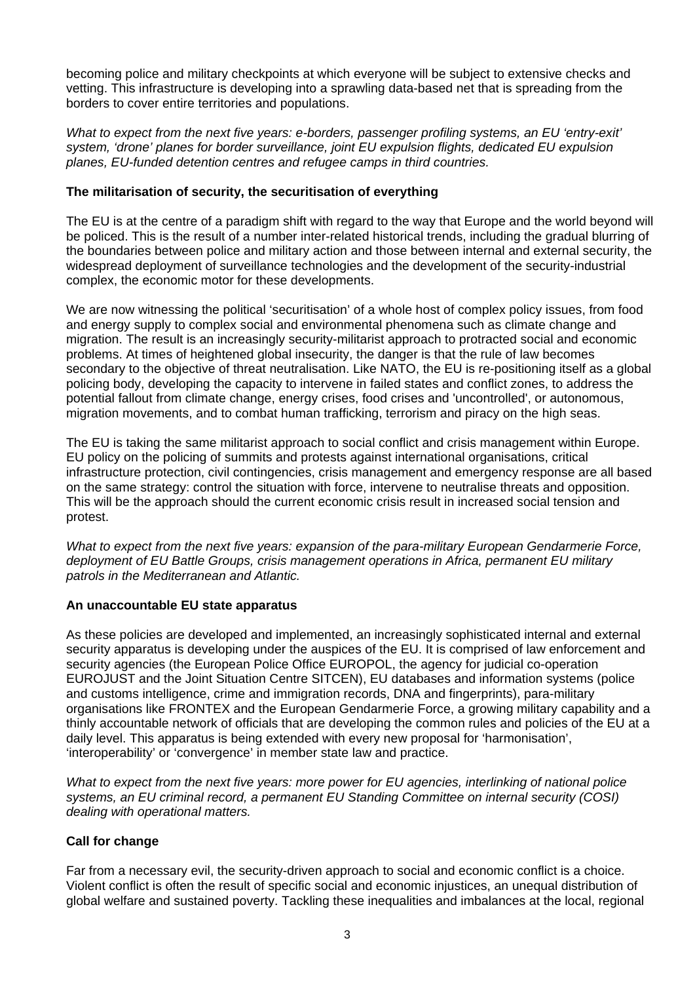becoming police and military checkpoints at which everyone will be subject to extensive checks and vetting. This infrastructure is developing into a sprawling data-based net that is spreading from the borders to cover entire territories and populations.

*What to expect from the next five years: e-borders, passenger profiling systems, an EU 'entry-exit' system, 'drone' planes for border surveillance, joint EU expulsion flights, dedicated EU expulsion planes, EU-funded detention centres and refugee camps in third countries.* 

### **The militarisation of security, the securitisation of everything**

The EU is at the centre of a paradigm shift with regard to the way that Europe and the world beyond will be policed. This is the result of a number inter-related historical trends, including the gradual blurring of the boundaries between police and military action and those between internal and external security, the widespread deployment of surveillance technologies and the development of the security-industrial complex, the economic motor for these developments.

We are now witnessing the political 'securitisation' of a whole host of complex policy issues, from food and energy supply to complex social and environmental phenomena such as climate change and migration. The result is an increasingly security-militarist approach to protracted social and economic problems. At times of heightened global insecurity, the danger is that the rule of law becomes secondary to the objective of threat neutralisation. Like NATO, the EU is re-positioning itself as a global policing body, developing the capacity to intervene in failed states and conflict zones, to address the potential fallout from climate change, energy crises, food crises and 'uncontrolled', or autonomous, migration movements, and to combat human trafficking, terrorism and piracy on the high seas.

The EU is taking the same militarist approach to social conflict and crisis management within Europe. EU policy on the policing of summits and protests against international organisations, critical infrastructure protection, civil contingencies, crisis management and emergency response are all based on the same strategy: control the situation with force, intervene to neutralise threats and opposition. This will be the approach should the current economic crisis result in increased social tension and protest.

*What to expect from the next five years: expansion of the para-military European Gendarmerie Force, deployment of EU Battle Groups, crisis management operations in Africa, permanent EU military patrols in the Mediterranean and Atlantic.* 

#### **An unaccountable EU state apparatus**

As these policies are developed and implemented, an increasingly sophisticated internal and external security apparatus is developing under the auspices of the EU. It is comprised of law enforcement and security agencies (the European Police Office EUROPOL, the agency for judicial co-operation EUROJUST and the Joint Situation Centre SITCEN), EU databases and information systems (police and customs intelligence, crime and immigration records, DNA and fingerprints), para-military organisations like FRONTEX and the European Gendarmerie Force, a growing military capability and a thinly accountable network of officials that are developing the common rules and policies of the EU at a daily level. This apparatus is being extended with every new proposal for 'harmonisation', 'interoperability' or 'convergence' in member state law and practice.

*What to expect from the next five years: more power for EU agencies, interlinking of national police systems, an EU criminal record, a permanent EU Standing Committee on internal security (COSI) dealing with operational matters.* 

#### **Call for change**

Far from a necessary evil, the security-driven approach to social and economic conflict is a choice. Violent conflict is often the result of specific social and economic injustices, an unequal distribution of global welfare and sustained poverty. Tackling these inequalities and imbalances at the local, regional